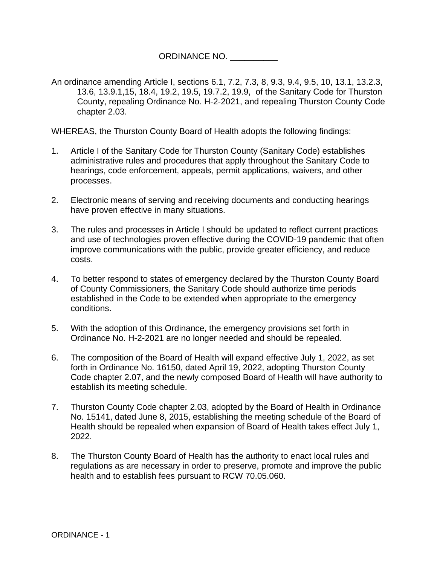ORDINANCE NO. \_\_\_\_\_\_\_\_\_\_

An ordinance amending Article I, sections 6.1, 7.2, 7.3, 8, 9.3, 9.4, 9.5, 10, 13.1, 13.2.3, 13.6, 13.9.1,15, 18.4, 19.2, 19.5, 19.7.2, 19.9, of the Sanitary Code for Thurston County, repealing Ordinance No. H-2-2021, and repealing Thurston County Code chapter 2.03.

WHEREAS, the Thurston County Board of Health adopts the following findings:

- 1. Article I of the Sanitary Code for Thurston County (Sanitary Code) establishes administrative rules and procedures that apply throughout the Sanitary Code to hearings, code enforcement, appeals, permit applications, waivers, and other processes.
- 2. Electronic means of serving and receiving documents and conducting hearings have proven effective in many situations.
- 3. The rules and processes in Article I should be updated to reflect current practices and use of technologies proven effective during the COVID-19 pandemic that often improve communications with the public, provide greater efficiency, and reduce costs.
- 4. To better respond to states of emergency declared by the Thurston County Board of County Commissioners, the Sanitary Code should authorize time periods established in the Code to be extended when appropriate to the emergency conditions.
- 5. With the adoption of this Ordinance, the emergency provisions set forth in Ordinance No. H-2-2021 are no longer needed and should be repealed.
- 6. The composition of the Board of Health will expand effective July 1, 2022, as set forth in Ordinance No. 16150, dated April 19, 2022, adopting Thurston County Code chapter 2.07, and the newly composed Board of Health will have authority to establish its meeting schedule.
- 7. Thurston County Code chapter 2.03, adopted by the Board of Health in Ordinance No. 15141, dated June 8, 2015, establishing the meeting schedule of the Board of Health should be repealed when expansion of Board of Health takes effect July 1, 2022.
- 8. The Thurston County Board of Health has the authority to enact local rules and regulations as are necessary in order to preserve, promote and improve the public health and to establish fees pursuant to RCW 70.05.060.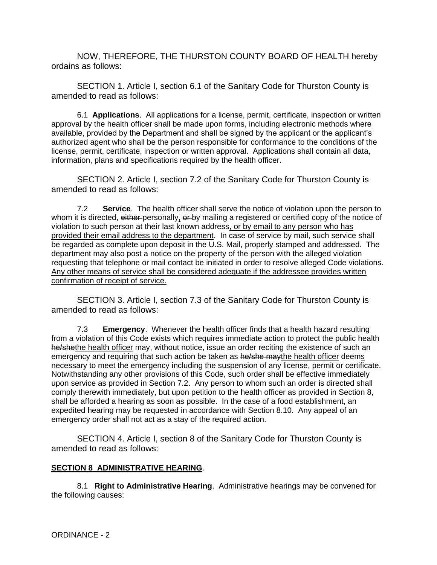NOW, THEREFORE, THE THURSTON COUNTY BOARD OF HEALTH hereby ordains as follows:

SECTION 1. Article I, section 6.1 of the Sanitary Code for Thurston County is amended to read as follows:

6.1 **Applications**. All applications for a license, permit, certificate, inspection or written approval by the health officer shall be made upon forms, including electronic methods where available, provided by the Department and shall be signed by the applicant or the applicant's authorized agent who shall be the person responsible for conformance to the conditions of the license, permit, certificate, inspection or written approval. Applications shall contain all data, information, plans and specifications required by the health officer.

SECTION 2. Article I, section 7.2 of the Sanitary Code for Thurston County is amended to read as follows:

7.2 **Service**. The health officer shall serve the notice of violation upon the person to whom it is directed, either personally, or by mailing a registered or certified copy of the notice of violation to such person at their last known address, or by email to any person who has provided their email address to the department. In case of service by mail, such service shall be regarded as complete upon deposit in the U.S. Mail, properly stamped and addressed. The department may also post a notice on the property of the person with the alleged violation requesting that telephone or mail contact be initiated in order to resolve alleged Code violations. Any other means of service shall be considered adequate if the addressee provides written confirmation of receipt of service.

SECTION 3. Article I, section 7.3 of the Sanitary Code for Thurston County is amended to read as follows:

7.3 **Emergency**. Whenever the health officer finds that a health hazard resulting from a violation of this Code exists which requires immediate action to protect the public health he/shethe health officer may, without notice, issue an order reciting the existence of such an emergency and requiring that such action be taken as he/she may the health officer deems necessary to meet the emergency including the suspension of any license, permit or certificate. Notwithstanding any other provisions of this Code, such order shall be effective immediately upon service as provided in Section 7.2. Any person to whom such an order is directed shall comply therewith immediately, but upon petition to the health officer as provided in Section 8, shall be afforded a hearing as soon as possible. In the case of a food establishment, an expedited hearing may be requested in accordance with Section 8.10. Any appeal of an emergency order shall not act as a stay of the required action.

SECTION 4. Article I, section 8 of the Sanitary Code for Thurston County is amended to read as follows:

## **SECTION 8 ADMINISTRATIVE HEARING**.

8.1 **Right to Administrative Hearing**. Administrative hearings may be convened for the following causes: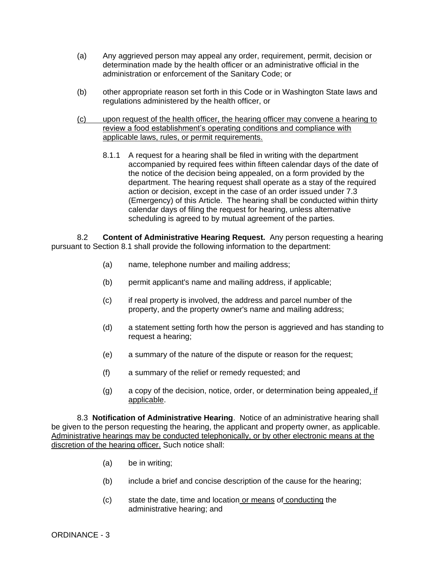- (a) Any aggrieved person may appeal any order, requirement, permit, decision or determination made by the health officer or an administrative official in the administration or enforcement of the Sanitary Code; or
- (b) other appropriate reason set forth in this Code or in Washington State laws and regulations administered by the health officer, or
- (c) upon request of the health officer, the hearing officer may convene a hearing to review a food establishment's operating conditions and compliance with applicable laws, rules, or permit requirements.
	- 8.1.1 A request for a hearing shall be filed in writing with the department accompanied by required fees within fifteen calendar days of the date of the notice of the decision being appealed, on a form provided by the department. The hearing request shall operate as a stay of the required action or decision, except in the case of an order issued under 7.3 (Emergency) of this Article. The hearing shall be conducted within thirty calendar days of filing the request for hearing, unless alternative scheduling is agreed to by mutual agreement of the parties.

8.2 **Content of Administrative Hearing Request.** Any person requesting a hearing pursuant to Section 8.1 shall provide the following information to the department:

- (a) name, telephone number and mailing address;
- (b) permit applicant's name and mailing address, if applicable;
- (c) if real property is involved, the address and parcel number of the property, and the property owner's name and mailing address;
- (d) a statement setting forth how the person is aggrieved and has standing to request a hearing;
- (e) a summary of the nature of the dispute or reason for the request;
- (f) a summary of the relief or remedy requested; and
- $(q)$  a copy of the decision, notice, order, or determination being appealed, if applicable.

8.3 **Notification of Administrative Hearing**. Notice of an administrative hearing shall be given to the person requesting the hearing, the applicant and property owner, as applicable. Administrative hearings may be conducted telephonically, or by other electronic means at the discretion of the hearing officer. Such notice shall:

- (a) be in writing;
- (b) include a brief and concise description of the cause for the hearing;
- (c) state the date, time and location or means of conducting the administrative hearing; and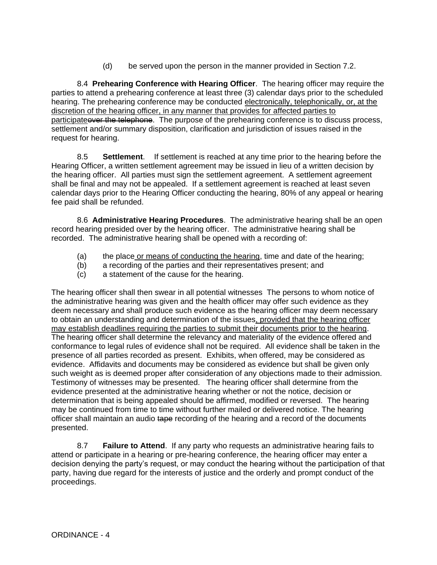(d) be served upon the person in the manner provided in Section 7.2.

8.4 **Prehearing Conference with Hearing Officer**. The hearing officer may require the parties to attend a prehearing conference at least three (3) calendar days prior to the scheduled hearing. The prehearing conference may be conducted electronically, telephonically, or, at the discretion of the hearing officer, in any manner that provides for affected parties to participate over the telephone. The purpose of the prehearing conference is to discuss process, settlement and/or summary disposition, clarification and jurisdiction of issues raised in the request for hearing.

8.5 **Settlement**. If settlement is reached at any time prior to the hearing before the Hearing Officer, a written settlement agreement may be issued in lieu of a written decision by the hearing officer. All parties must sign the settlement agreement. A settlement agreement shall be final and may not be appealed. If a settlement agreement is reached at least seven calendar days prior to the Hearing Officer conducting the hearing, 80% of any appeal or hearing fee paid shall be refunded.

8.6 **Administrative Hearing Procedures**. The administrative hearing shall be an open record hearing presided over by the hearing officer. The administrative hearing shall be recorded. The administrative hearing shall be opened with a recording of:

- (a) the place or means of conducting the hearing, time and date of the hearing;
- (b) a recording of the parties and their representatives present; and
- (c) a statement of the cause for the hearing.

The hearing officer shall then swear in all potential witnesses The persons to whom notice of the administrative hearing was given and the health officer may offer such evidence as they deem necessary and shall produce such evidence as the hearing officer may deem necessary to obtain an understanding and determination of the issues, provided that the hearing officer may establish deadlines requiring the parties to submit their documents prior to the hearing. The hearing officer shall determine the relevancy and materiality of the evidence offered and conformance to legal rules of evidence shall not be required. All evidence shall be taken in the presence of all parties recorded as present. Exhibits, when offered, may be considered as evidence. Affidavits and documents may be considered as evidence but shall be given only such weight as is deemed proper after consideration of any objections made to their admission. Testimony of witnesses may be presented. The hearing officer shall determine from the evidence presented at the administrative hearing whether or not the notice, decision or determination that is being appealed should be affirmed, modified or reversed. The hearing may be continued from time to time without further mailed or delivered notice. The hearing officer shall maintain an audio tape recording of the hearing and a record of the documents presented.

8.7 **Failure to Attend**. If any party who requests an administrative hearing fails to attend or participate in a hearing or pre-hearing conference, the hearing officer may enter a decision denying the party's request, or may conduct the hearing without the participation of that party, having due regard for the interests of justice and the orderly and prompt conduct of the proceedings.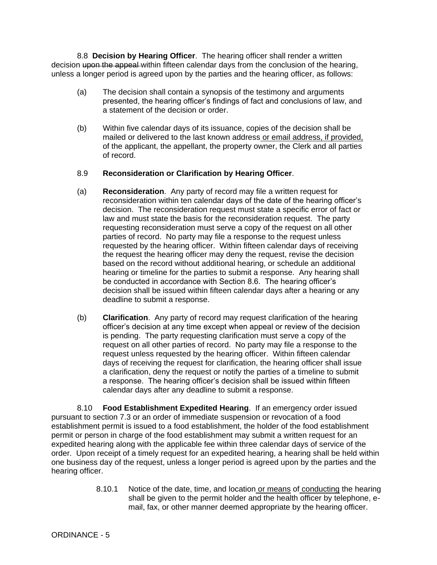8.8 **Decision by Hearing Officer**. The hearing officer shall render a written decision upon the appeal within fifteen calendar days from the conclusion of the hearing, unless a longer period is agreed upon by the parties and the hearing officer, as follows:

- (a) The decision shall contain a synopsis of the testimony and arguments presented, the hearing officer's findings of fact and conclusions of law, and a statement of the decision or order.
- (b) Within five calendar days of its issuance, copies of the decision shall be mailed or delivered to the last known address or email address, if provided, of the applicant, the appellant, the property owner, the Clerk and all parties of record.

## 8.9 **Reconsideration or Clarification by Hearing Officer**.

- (a) **Reconsideration**. Any party of record may file a written request for reconsideration within ten calendar days of the date of the hearing officer's decision. The reconsideration request must state a specific error of fact or law and must state the basis for the reconsideration request. The party requesting reconsideration must serve a copy of the request on all other parties of record. No party may file a response to the request unless requested by the hearing officer. Within fifteen calendar days of receiving the request the hearing officer may deny the request, revise the decision based on the record without additional hearing, or schedule an additional hearing or timeline for the parties to submit a response. Any hearing shall be conducted in accordance with Section 8.6. The hearing officer's decision shall be issued within fifteen calendar days after a hearing or any deadline to submit a response.
- (b) **Clarification**. Any party of record may request clarification of the hearing officer's decision at any time except when appeal or review of the decision is pending. The party requesting clarification must serve a copy of the request on all other parties of record. No party may file a response to the request unless requested by the hearing officer. Within fifteen calendar days of receiving the request for clarification, the hearing officer shall issue a clarification, deny the request or notify the parties of a timeline to submit a response. The hearing officer's decision shall be issued within fifteen calendar days after any deadline to submit a response.

8.10 **Food Establishment Expedited Hearing**. If an emergency order issued pursuant to section 7.3 or an order of immediate suspension or revocation of a food establishment permit is issued to a food establishment, the holder of the food establishment permit or person in charge of the food establishment may submit a written request for an expedited hearing along with the applicable fee within three calendar days of service of the order. Upon receipt of a timely request for an expedited hearing, a hearing shall be held within one business day of the request, unless a longer period is agreed upon by the parties and the hearing officer.

> 8.10.1 Notice of the date, time, and location or means of conducting the hearing shall be given to the permit holder and the health officer by telephone, email, fax, or other manner deemed appropriate by the hearing officer.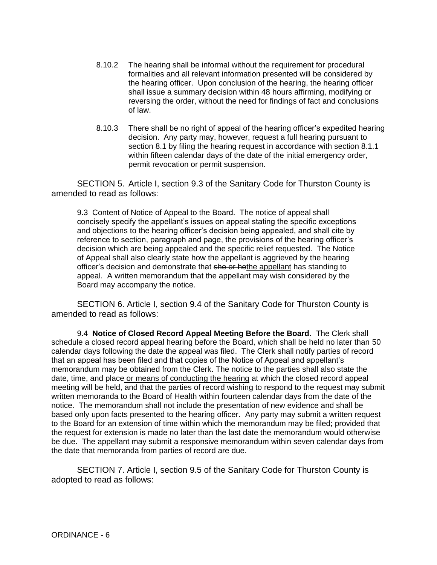- 8.10.2 The hearing shall be informal without the requirement for procedural formalities and all relevant information presented will be considered by the hearing officer. Upon conclusion of the hearing, the hearing officer shall issue a summary decision within 48 hours affirming, modifying or reversing the order, without the need for findings of fact and conclusions of law.
- 8.10.3 There shall be no right of appeal of the hearing officer's expedited hearing decision. Any party may, however, request a full hearing pursuant to section 8.1 by filing the hearing request in accordance with section 8.1.1 within fifteen calendar days of the date of the initial emergency order, permit revocation or permit suspension.

SECTION 5. Article I, section 9.3 of the Sanitary Code for Thurston County is amended to read as follows:

9.3 Content of Notice of Appeal to the Board. The notice of appeal shall concisely specify the appellant's issues on appeal stating the specific exceptions and objections to the hearing officer's decision being appealed, and shall cite by reference to section, paragraph and page, the provisions of the hearing officer's decision which are being appealed and the specific relief requested. The Notice of Appeal shall also clearly state how the appellant is aggrieved by the hearing officer's decision and demonstrate that she or hethe appellant has standing to appeal. A written memorandum that the appellant may wish considered by the Board may accompany the notice.

SECTION 6. Article I, section 9.4 of the Sanitary Code for Thurston County is amended to read as follows:

9.4 **Notice of Closed Record Appeal Meeting Before the Board**. The Clerk shall schedule a closed record appeal hearing before the Board, which shall be held no later than 50 calendar days following the date the appeal was filed. The Clerk shall notify parties of record that an appeal has been filed and that copies of the Notice of Appeal and appellant's memorandum may be obtained from the Clerk. The notice to the parties shall also state the date, time, and place or means of conducting the hearing at which the closed record appeal meeting will be held, and that the parties of record wishing to respond to the request may submit written memoranda to the Board of Health within fourteen calendar days from the date of the notice. The memorandum shall not include the presentation of new evidence and shall be based only upon facts presented to the hearing officer. Any party may submit a written request to the Board for an extension of time within which the memorandum may be filed; provided that the request for extension is made no later than the last date the memorandum would otherwise be due. The appellant may submit a responsive memorandum within seven calendar days from the date that memoranda from parties of record are due.

SECTION 7. Article I, section 9.5 of the Sanitary Code for Thurston County is adopted to read as follows: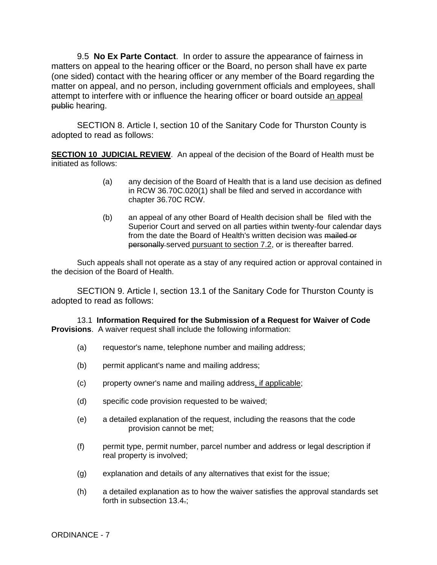9.5 **No Ex Parte Contact**. In order to assure the appearance of fairness in matters on appeal to the hearing officer or the Board, no person shall have ex parte (one sided) contact with the hearing officer or any member of the Board regarding the matter on appeal, and no person, including government officials and employees, shall attempt to interfere with or influence the hearing officer or board outside an appeal public hearing.

SECTION 8. Article I, section 10 of the Sanitary Code for Thurston County is adopted to read as follows:

**SECTION 10 JUDICIAL REVIEW**. An appeal of the decision of the Board of Health must be initiated as follows:

- (a) any decision of the Board of Health that is a land use decision as defined in RCW 36.70C.020(1) shall be filed and served in accordance with chapter 36.70C RCW.
- (b) an appeal of any other Board of Health decision shall be filed with the Superior Court and served on all parties within twenty-four calendar days from the date the Board of Health's written decision was mailed or personally served pursuant to section 7.2, or is thereafter barred.

Such appeals shall not operate as a stay of any required action or approval contained in the decision of the Board of Health.

SECTION 9. Article I, section 13.1 of the Sanitary Code for Thurston County is adopted to read as follows:

13.1 **Information Required for the Submission of a Request for Waiver of Code Provisions**. A waiver request shall include the following information:

- (a) requestor's name, telephone number and mailing address;
- (b) permit applicant's name and mailing address;
- (c) property owner's name and mailing address, if applicable;
- (d) specific code provision requested to be waived;
- (e) a detailed explanation of the request, including the reasons that the code provision cannot be met;
- (f) permit type, permit number, parcel number and address or legal description if real property is involved;
- (g) explanation and details of any alternatives that exist for the issue;
- (h) a detailed explanation as to how the waiver satisfies the approval standards set forth in subsection 13.4.;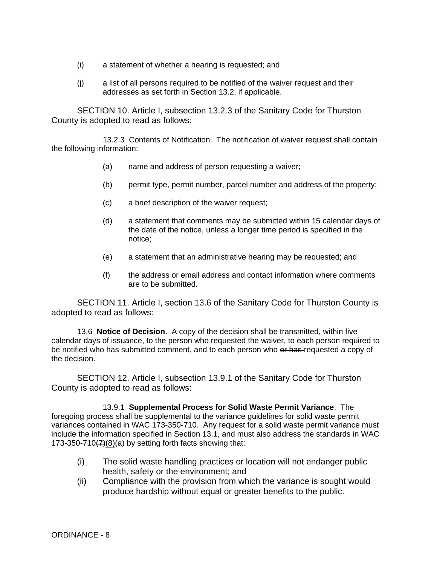- (i) a statement of whether a hearing is requested; and
- (j) a list of all persons required to be notified of the waiver request and their addresses as set forth in Section 13.2, if applicable.

SECTION 10. Article I, subsection 13.2.3 of the Sanitary Code for Thurston County is adopted to read as follows:

13.2.3 Contents of Notification. The notification of waiver request shall contain the following information:

- (a) name and address of person requesting a waiver;
- (b) permit type, permit number, parcel number and address of the property;
- (c) a brief description of the waiver request;
- (d) a statement that comments may be submitted within 15 calendar days of the date of the notice, unless a longer time period is specified in the notice;
- (e) a statement that an administrative hearing may be requested; and
- (f) the address or email address and contact information where comments are to be submitted.

SECTION 11. Article I, section 13.6 of the Sanitary Code for Thurston County is adopted to read as follows:

13.6 **Notice of Decision**. A copy of the decision shall be transmitted, within five calendar days of issuance, to the person who requested the waiver, to each person required to be notified who has submitted comment, and to each person who or has requested a copy of the decision.

SECTION 12. Article I, subsection 13.9.1 of the Sanitary Code for Thurston County is adopted to read as follows:

13.9.1 **Supplemental Process for Solid Waste Permit Variance**. The foregoing process shall be supplemental to the variance guidelines for solid waste permit variances contained in WAC 173-350-710. Any request for a solid waste permit variance must include the information specified in Section 13.1, and must also address the standards in WAC 173-350-710 $\left(\frac{7}{6}\right)$ (a) by setting forth facts showing that:

- (i) The solid waste handling practices or location will not endanger public health, safety or the environment; and
- (ii) Compliance with the provision from which the variance is sought would produce hardship without equal or greater benefits to the public.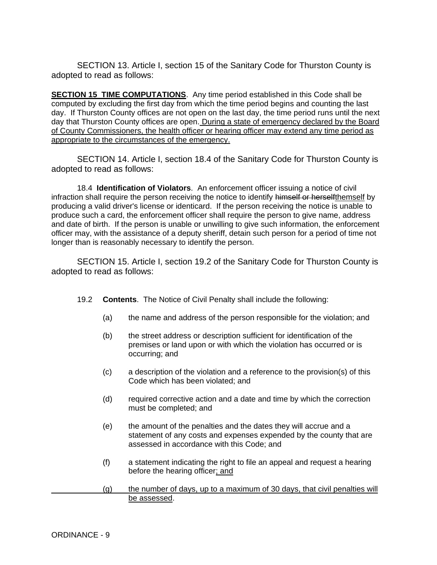SECTION 13. Article I, section 15 of the Sanitary Code for Thurston County is adopted to read as follows:

**SECTION 15 TIME COMPUTATIONS**. Any time period established in this Code shall be computed by excluding the first day from which the time period begins and counting the last day. If Thurston County offices are not open on the last day, the time period runs until the next day that Thurston County offices are open. During a state of emergency declared by the Board of County Commissioners, the health officer or hearing officer may extend any time period as appropriate to the circumstances of the emergency.

SECTION 14. Article I, section 18.4 of the Sanitary Code for Thurston County is adopted to read as follows:

18.4 **Identification of Violators**. An enforcement officer issuing a notice of civil infraction shall require the person receiving the notice to identify himself or herselfthemself by producing a valid driver's license or identicard. If the person receiving the notice is unable to produce such a card, the enforcement officer shall require the person to give name, address and date of birth. If the person is unable or unwilling to give such information, the enforcement officer may, with the assistance of a deputy sheriff, detain such person for a period of time not longer than is reasonably necessary to identify the person.

SECTION 15. Article I, section 19.2 of the Sanitary Code for Thurston County is adopted to read as follows:

- 19.2 **Contents**.The Notice of Civil Penalty shall include the following:
	- (a) the name and address of the person responsible for the violation; and
	- (b) the street address or description sufficient for identification of the premises or land upon or with which the violation has occurred or is occurring; and
	- (c) a description of the violation and a reference to the provision(s) of this Code which has been violated; and
	- (d) required corrective action and a date and time by which the correction must be completed; and
	- (e) the amount of the penalties and the dates they will accrue and a statement of any costs and expenses expended by the county that are assessed in accordance with this Code; and
	- (f) a statement indicating the right to file an appeal and request a hearing before the hearing officer; and
- (g) the number of days, up to a maximum of 30 days, that civil penalties will be assessed.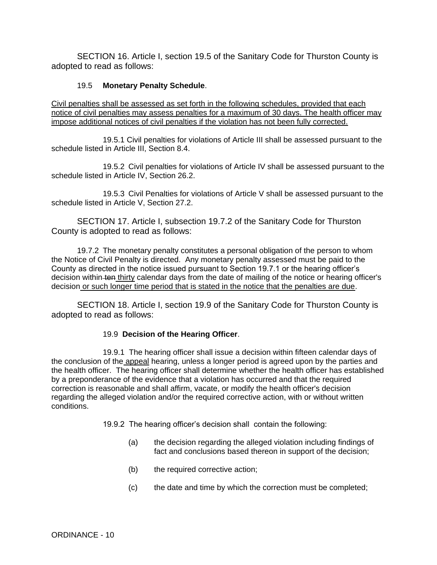SECTION 16. Article I, section 19.5 of the Sanitary Code for Thurston County is adopted to read as follows:

## 19.5 **Monetary Penalty Schedule**.

Civil penalties shall be assessed as set forth in the following schedules, provided that each notice of civil penalties may assess penalties for a maximum of 30 days. The health officer may impose additional notices of civil penalties if the violation has not been fully corrected.

19.5.1 Civil penalties for violations of Article III shall be assessed pursuant to the schedule listed in Article III, Section 8.4.

19.5.2 Civil penalties for violations of Article IV shall be assessed pursuant to the schedule listed in Article IV, Section 26.2.

19.5.3 Civil Penalties for violations of Article V shall be assessed pursuant to the schedule listed in Article V, Section 27.2.

SECTION 17. Article I, subsection 19.7.2 of the Sanitary Code for Thurston County is adopted to read as follows:

19.7.2 The monetary penalty constitutes a personal obligation of the person to whom the Notice of Civil Penalty is directed. Any monetary penalty assessed must be paid to the County as directed in the notice issued pursuant to Section 19.7.1 or the hearing officer's decision within ten thirty calendar days from the date of mailing of the notice or hearing officer's decision or such longer time period that is stated in the notice that the penalties are due.

SECTION 18. Article I, section 19.9 of the Sanitary Code for Thurston County is adopted to read as follows:

## 19.9 **Decision of the Hearing Officer**.

19.9.1 The hearing officer shall issue a decision within fifteen calendar days of the conclusion of the appeal hearing, unless a longer period is agreed upon by the parties and the health officer. The hearing officer shall determine whether the health officer has established by a preponderance of the evidence that a violation has occurred and that the required correction is reasonable and shall affirm, vacate, or modify the health officer's decision regarding the alleged violation and/or the required corrective action, with or without written conditions.

19.9.2 The hearing officer's decision shall contain the following:

- (a) the decision regarding the alleged violation including findings of fact and conclusions based thereon in support of the decision;
- (b) the required corrective action;
- (c) the date and time by which the correction must be completed;